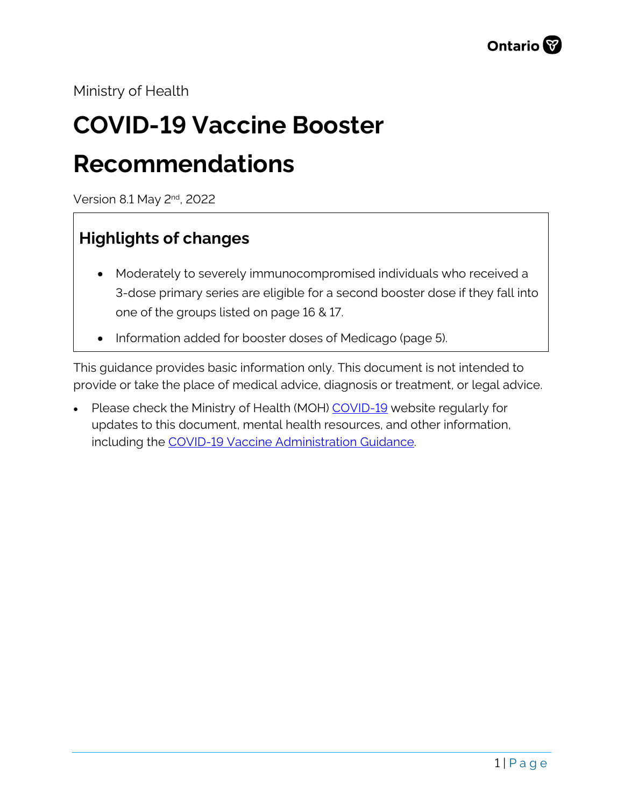Ministry of Health

# **COVID-19 Vaccine Booster Recommendations**

Version 8.1 May 2nd, 2022

### <span id="page-0-0"></span>**Highlights of changes**

- Moderately to severely immunocompromised individuals who received a 3-dose primary series are eligible for a second booster dose if they fall into one of the groups listed on page 16 & 17.
- Information added for booster doses of Medicago (page 5).

This guidance provides basic information only. This document is not intended to provide or take the place of medical advice, diagnosis or treatment, or legal advice.

• Please check the Ministry of Health (MOH) [COVID-19](http://www.health.gov.on.ca/en/pro/programs/publichealth/coronavirus/2019_guidance.aspx) website regularly for updates to this document, mental health resources, and other information, including the [COVID-19 Vaccine Administration Guidance.](https://www.health.gov.on.ca/en/pro/programs/publichealth/coronavirus/docs/vaccine/COVID-19_vaccine_administration.pdf)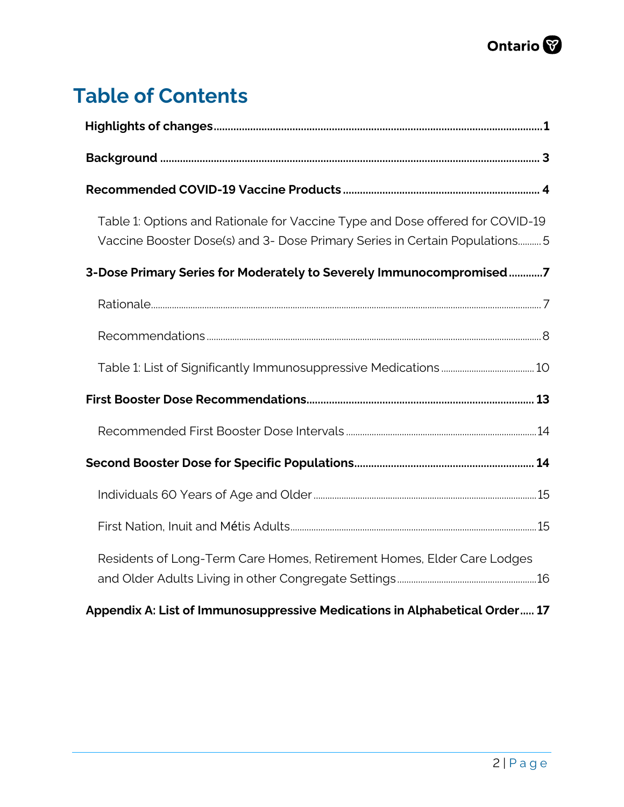## **Table of Contents**

| Table 1: Options and Rationale for Vaccine Type and Dose offered for COVID-19<br>Vaccine Booster Dose(s) and 3- Dose Primary Series in Certain Populations 5 |
|--------------------------------------------------------------------------------------------------------------------------------------------------------------|
| 3-Dose Primary Series for Moderately to Severely Immunocompromised7                                                                                          |
|                                                                                                                                                              |
|                                                                                                                                                              |
|                                                                                                                                                              |
|                                                                                                                                                              |
|                                                                                                                                                              |
|                                                                                                                                                              |
|                                                                                                                                                              |
|                                                                                                                                                              |
| Residents of Long-Term Care Homes, Retirement Homes, Elder Care Lodges                                                                                       |
| Appendix A: List of Immunosuppressive Medications in Alphabetical Order 17                                                                                   |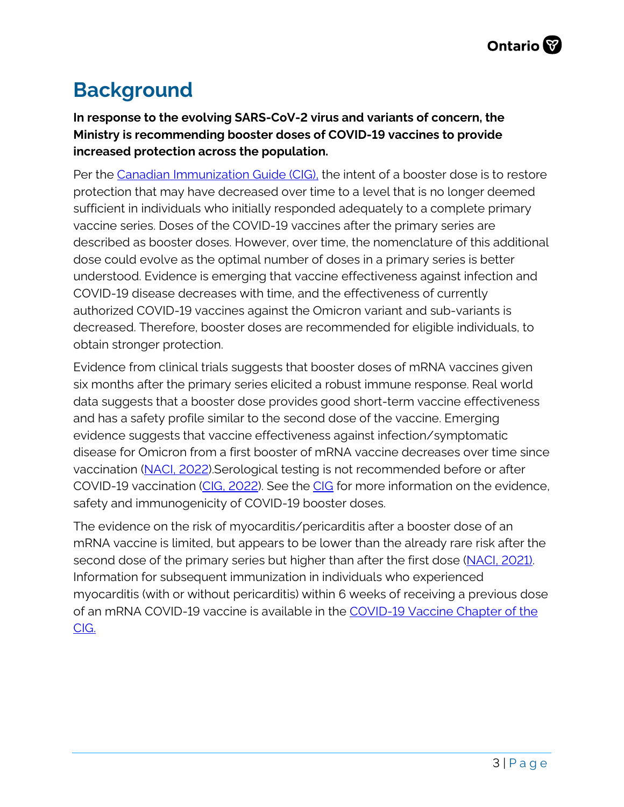### <span id="page-2-0"></span>**Background**

**In response to the evolving SARS-CoV-2 virus and variants of concern, the Ministry is recommending booster doses of COVID-19 vaccines to provide increased protection across the population.** 

Per the [Canadian Immunization Guide \(CIG\),](https://www.canada.ca/en/public-health/services/publications/healthy-living/canadian-immunization-guide-part-4-active-vaccines/page-26-covid-19-vaccine.html#a5.5) the intent of a booster dose is to restore protection that may have decreased over time to a level that is no longer deemed sufficient in individuals who initially responded adequately to a complete primary vaccine series. Doses of the COVID-19 vaccines after the primary series are described as booster doses. However, over time, the nomenclature of this additional dose could evolve as the optimal number of doses in a primary series is better understood. Evidence is emerging that vaccine effectiveness against infection and COVID-19 disease decreases with time, and the effectiveness of currently authorized COVID-19 vaccines against the Omicron variant and sub-variants is decreased. Therefore, booster doses are recommended for eligible individuals, to obtain stronger protection.

Evidence from clinical trials suggests that booster doses of mRNA vaccines given six months after the primary series elicited a robust immune response. Real world data suggests that a booster dose provides good short-term vaccine effectiveness and has a safety profile similar to the second dose of the vaccine. Emerging evidence suggests that vaccine effectiveness against infection/symptomatic disease for Omicron from a first booster of mRNA vaccine decreases over time since vaccination [\(NACI, 2022\)](https://www.canada.ca/content/dam/phac-aspc/documents/services/immunization/national-advisory-committee-on-immunization-naci/naci-guidance-second-booster-dose-covid-19-vaccines.pdf).Serological testing is not recommended before or after COVID-19 vaccination [\(CIG, 2022\)](https://www.canada.ca/en/public-health/services/publications/healthy-living/canadian-immunization-guide-part-4-active-vaccines/page-26-covid-19-vaccine.html#a5.5). See the [CIG](https://www.canada.ca/en/public-health/services/publications/healthy-living/canadian-immunization-guide-part-4-active-vaccines/page-26-covid-19-vaccine.html#a5.5) for more information on the evidence, safety and immunogenicity of COVID-19 booster doses.

The evidence on the risk of myocarditis/pericarditis after a booster dose of an mRNA vaccine is limited, but appears to be lower than the already rare risk after the second dose of the primary series but higher than after the first dose (NACI, 2021). Information for subsequent immunization in individuals who experienced myocarditis (with or without pericarditis) within 6 weeks of receiving a previous dose of an mRNA COVID-19 vaccine is available in the [COVID-19 Vaccine Chapter of the](https://www.canada.ca/en/public-health/services/publications/healthy-living/canadian-immunization-guide-part-4-active-vaccines/page-26-covid-19-vaccine.html#a10.4)  [CIG.](https://www.canada.ca/en/public-health/services/publications/healthy-living/canadian-immunization-guide-part-4-active-vaccines/page-26-covid-19-vaccine.html#a10.4)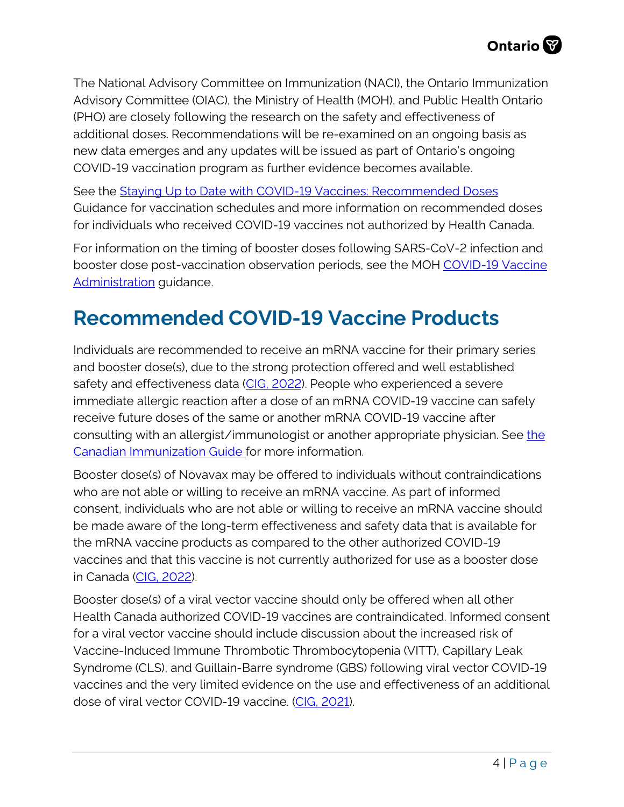The National Advisory Committee on Immunization (NACI), the Ontario Immunization Advisory Committee (OIAC), the Ministry of Health (MOH), and Public Health Ontario (PHO) are closely following the research on the safety and effectiveness of additional doses. Recommendations will be re-examined on an ongoing basis as new data emerges and any updates will be issued as part of Ontario's ongoing COVID-19 vaccination program as further evidence becomes available.

See the [Staying Up to Date with COVID-19 Vaccines: Recommended Doses](https://www.health.gov.on.ca/en/pro/programs/publichealth/coronavirus/docs/vaccine/COVID_19_vaccine_up_to_date.pdf#page=3) Guidance for vaccination schedules and more information on recommended doses for individuals who received COVID-19 vaccines not authorized by Health Canada.

For information on the timing of booster doses following SARS-CoV-2 infection and booster dose post-vaccination observation periods, see the MOH [COVID-19](https://www.health.gov.on.ca/en/pro/programs/publichealth/coronavirus/docs/vaccine/COVID-19_vaccine_administration.pdf) Vaccine [Administration](https://www.health.gov.on.ca/en/pro/programs/publichealth/coronavirus/docs/vaccine/COVID-19_vaccine_administration.pdf) guidance.

### <span id="page-3-0"></span>**Recommended COVID-19 Vaccine Products**

Individuals are recommended to receive an mRNA vaccine for their primary series and booster dose(s), due to the strong protection offered and well established safety and effectiveness data [\(CIG, 2022\)](https://www.canada.ca/en/public-health/services/publications/healthy-living/canadian-immunization-guide-part-4-active-vaccines/page-26-covid-19-vaccine.html). People who experienced a severe immediate allergic reaction after a dose of an mRNA COVID-19 vaccine can safely receive future doses of the same or another mRNA COVID-19 vaccine after consulting with an allergist/immunologist or another appropriate physician. See the [Canadian Immunization Guide f](https://www.canada.ca/en/public-health/services/publications/healthy-living/canadian-immunization-guide-part-4-active-vaccines/page-26-covid-19-vaccine.html)or more information.

Booster dose(s) of Novavax may be offered to individuals without contraindications who are not able or willing to receive an mRNA vaccine. As part of informed consent, individuals who are not able or willing to receive an mRNA vaccine should be made aware of the long-term effectiveness and safety data that is available for the mRNA vaccine products as compared to the other authorized COVID-19 vaccines and that this vaccine is not currently authorized for use as a booster dose in Canada [\(CIG, 2022\)](https://www.canada.ca/en/public-health/services/publications/healthy-living/canadian-immunization-guide-part-4-active-vaccines/page-26-covid-19-vaccine.html).

Booster dose(s) of a viral vector vaccine should only be offered when all other Health Canada authorized COVID-19 vaccines are contraindicated. Informed consent for a viral vector vaccine should include discussion about the increased risk of Vaccine-Induced Immune Thrombotic Thrombocytopenia (VITT), Capillary Leak Syndrome (CLS), and Guillain-Barre syndrome (GBS) following viral vector COVID-19 vaccines and the very limited evidence on the use and effectiveness of an additional dose of viral vector COVID-19 vaccine. [\(CIG, 2021\)](https://www.canada.ca/en/public-health/services/publications/healthy-living/canadian-immunization-guide-part-4-active-vaccines/page-26-covid-19-vaccine.html).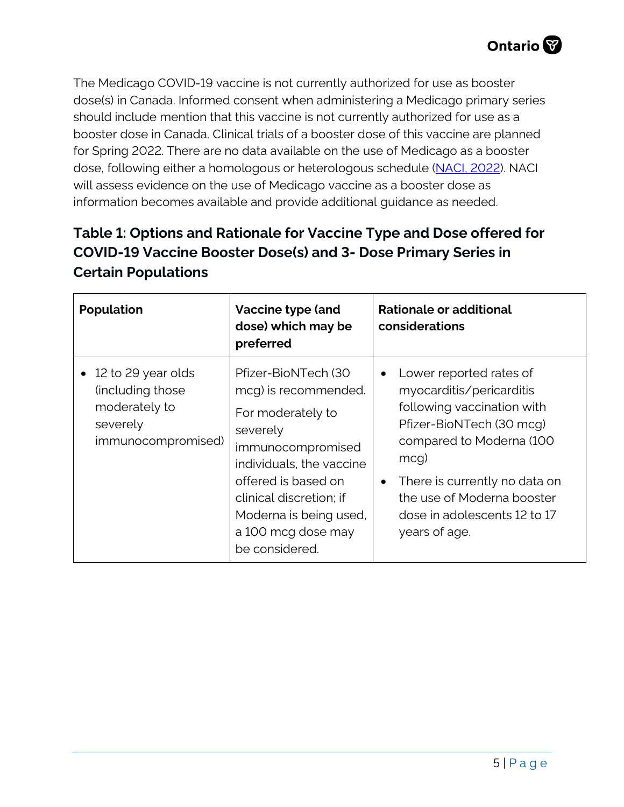The Medicago COVID-19 vaccine is not currently authorized for use as booster dose(s) in Canada. Informed consent when administering a Medicago primary series should include mention that this vaccine is not currently authorized for use as a booster dose in Canada. Clinical trials of a booster dose of this vaccine are planned for Spring 2022. There are no data available on the use of Medicago as a booster dose, following either a homologous or heterologous schedule [\(NACI, 2022\)](https://www.canada.ca/content/dam/phac-aspc/documents/services/immunization/national-advisory-committee-on-immunization-naci/recommendations-use-medicago-covid-19-vaccine/recommendations-use-medicago-covid-19-vaccine.pdf). NACI will assess evidence on the use of Medicago vaccine as a booster dose as information becomes available and provide additional guidance as needed.

#### <span id="page-4-0"></span>**Table 1: Options and Rationale for Vaccine Type and Dose offered for COVID-19 Vaccine Booster Dose(s) and 3- Dose Primary Series in Certain Populations**

| <b>Population</b>                                                                          | Vaccine type (and<br>dose) which may be<br>preferred                                                                                                                                                                                              | Rationale or additional<br>considerations                                                                                                                                                                                                                                                      |
|--------------------------------------------------------------------------------------------|---------------------------------------------------------------------------------------------------------------------------------------------------------------------------------------------------------------------------------------------------|------------------------------------------------------------------------------------------------------------------------------------------------------------------------------------------------------------------------------------------------------------------------------------------------|
| 12 to 29 year olds<br>(including those)<br>moderately to<br>severely<br>immunocompromised) | Pfizer-BioNTech (30<br>mcg) is recommended.<br>For moderately to<br>severely<br>immunocompromised<br>individuals, the vaccine<br>offered is based on<br>clinical discretion; if<br>Moderna is being used,<br>a 100 mcg dose may<br>be considered. | Lower reported rates of<br>$\bullet$<br>myocarditis/pericarditis<br>following vaccination with<br>Pfizer-BioNTech (30 mcg)<br>compared to Moderna (100<br>$mcq$ )<br>There is currently no data on<br>$\bullet$<br>the use of Moderna booster<br>dose in adolescents 12 to 17<br>years of age. |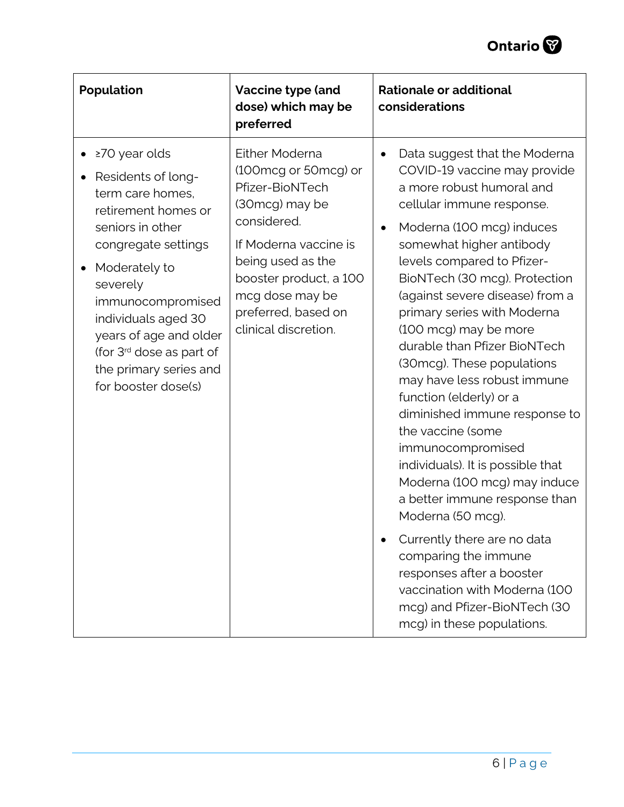

| Population                                                                                                                                                                                                                                                                                                            | Vaccine type (and<br>dose) which may be<br>preferred                                                                                                                                                                                 | <b>Rationale or additional</b><br>considerations                                                                                                                                                                                                                                                                                                                                                                                                                                                                                                                                                                                                                                                                                                                                                                                                                                       |
|-----------------------------------------------------------------------------------------------------------------------------------------------------------------------------------------------------------------------------------------------------------------------------------------------------------------------|--------------------------------------------------------------------------------------------------------------------------------------------------------------------------------------------------------------------------------------|----------------------------------------------------------------------------------------------------------------------------------------------------------------------------------------------------------------------------------------------------------------------------------------------------------------------------------------------------------------------------------------------------------------------------------------------------------------------------------------------------------------------------------------------------------------------------------------------------------------------------------------------------------------------------------------------------------------------------------------------------------------------------------------------------------------------------------------------------------------------------------------|
| ≥70 year olds<br>Residents of long-<br>term care homes,<br>retirement homes or<br>seniors in other<br>congregate settings<br>Moderately to<br>severely<br>immunocompromised<br>individuals aged 30<br>years of age and older<br>(for 3 <sup>rd</sup> dose as part of<br>the primary series and<br>for booster dose(s) | Either Moderna<br>(100mcg or 50mcg) or<br>Pfizer-BioNTech<br>(30mcg) may be<br>considered.<br>If Moderna vaccine is<br>being used as the<br>booster product, a 100<br>mcg dose may be<br>preferred, based on<br>clinical discretion. | Data suggest that the Moderna<br>$\bullet$<br>COVID-19 vaccine may provide<br>a more robust humoral and<br>cellular immune response.<br>Moderna (100 mcg) induces<br>$\bullet$<br>somewhat higher antibody<br>levels compared to Pfizer-<br>BioNTech (30 mcg). Protection<br>(against severe disease) from a<br>primary series with Moderna<br>(100 mcg) may be more<br>durable than Pfizer BioNTech<br>(30 mcg). These populations<br>may have less robust immune<br>function (elderly) or a<br>diminished immune response to<br>the vaccine (some<br>immunocompromised<br>individuals). It is possible that<br>Moderna (100 mcg) may induce<br>a better immune response than<br>Moderna (50 mcg).<br>Currently there are no data<br>comparing the immune<br>responses after a booster<br>vaccination with Moderna (100<br>mcg) and Pfizer-BioNTech (30<br>mcg) in these populations. |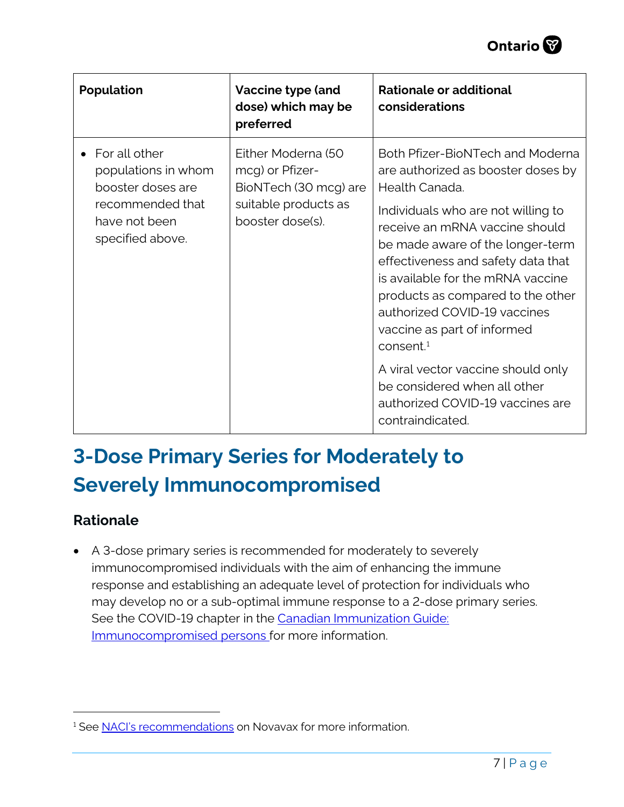

| Population                                                                                                         | Vaccine type (and<br>dose) which may be<br>preferred                                                       | Rationale or additional<br>considerations                                                                                                                                                                                                                                                                                                                                                                                                                                                                                                 |
|--------------------------------------------------------------------------------------------------------------------|------------------------------------------------------------------------------------------------------------|-------------------------------------------------------------------------------------------------------------------------------------------------------------------------------------------------------------------------------------------------------------------------------------------------------------------------------------------------------------------------------------------------------------------------------------------------------------------------------------------------------------------------------------------|
| For all other<br>populations in whom<br>booster doses are<br>recommended that<br>have not been<br>specified above. | Either Moderna (50<br>mcg) or Pfizer-<br>BioNTech (30 mcg) are<br>suitable products as<br>booster dose(s). | Both Pfizer-BioNTech and Moderna<br>are authorized as booster doses by<br>Health Canada.<br>Individuals who are not willing to<br>receive an mRNA vaccine should<br>be made aware of the longer-term<br>effectiveness and safety data that<br>is available for the mRNA vaccine<br>products as compared to the other<br>authorized COVID-19 vaccines<br>vaccine as part of informed<br>consent <sup>1</sup><br>A viral vector vaccine should only<br>be considered when all other<br>authorized COVID-19 vaccines are<br>contraindicated. |

## <span id="page-6-0"></span>**3-Dose Primary Series for Moderately to Severely Immunocompromised**

#### <span id="page-6-1"></span>**Rationale**

• A 3-dose primary series is recommended for moderately to severely immunocompromised individuals with the aim of enhancing the immune response and establishing an adequate level of protection for individuals who may develop no or a sub-optimal immune response to a 2-dose primary series. See the COVID-19 chapter in the Canadian Immunization Guide: [Immunocompromised persons](https://www.canada.ca/en/public-health/services/publications/healthy-living/canadian-immunization-guide-part-4-active-vaccines/page-26-covid-19-vaccine.html) for more information.

<span id="page-6-2"></span><sup>&</sup>lt;sup>1</sup> See [NACI's recommendations](https://www.canada.ca/en/public-health/services/publications/healthy-living/canadian-immunization-guide-part-4-active-vaccines/page-26-covid-19-vaccine.html) on Novavax for more information.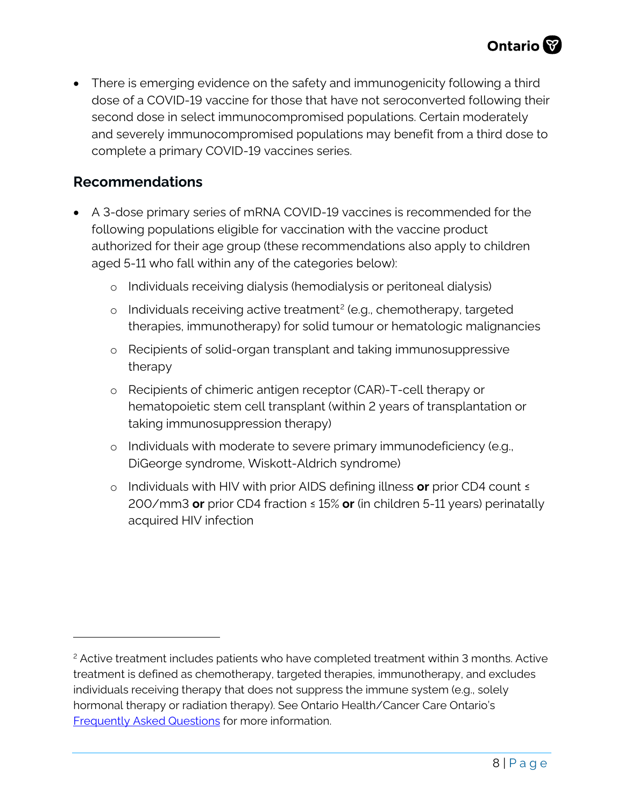• There is emerging evidence on the safety and immunogenicity following a third dose of a COVID-19 vaccine for those that have not seroconverted following their second dose in select immunocompromised populations. Certain moderately and severely immunocompromised populations may benefit from a third dose to complete a primary COVID-19 vaccines series.

#### <span id="page-7-0"></span>**Recommendations**

- A 3-dose primary series of mRNA COVID-19 vaccines is recommended for the following populations eligible for vaccination with the vaccine product authorized for their age group (these recommendations also apply to children aged 5-11 who fall within any of the categories below):
	- o Individuals receiving dialysis (hemodialysis or peritoneal dialysis)
	- $\circ$  Individuals receiving active treatment<sup>[2](#page-7-1)</sup> (e.g., chemotherapy, targeted therapies, immunotherapy) for solid tumour or hematologic malignancies
	- o Recipients of solid-organ transplant and taking immunosuppressive therapy
	- o Recipients of chimeric antigen receptor (CAR)-T-cell therapy or hematopoietic stem cell transplant (within 2 years of transplantation or taking immunosuppression therapy)
	- o Individuals with moderate to severe primary immunodeficiency (e.g., DiGeorge syndrome, Wiskott-Aldrich syndrome)
	- o Individuals with HIV with prior AIDS defining illness **or** prior CD4 count ≤ 200/mm3 **or** prior CD4 fraction ≤ 15% **or** (in children 5-11 years) perinatally acquired HIV infection

<span id="page-7-1"></span><sup>&</sup>lt;sup>2</sup> Active treatment includes patients who have completed treatment within 3 months. Active treatment is defined as chemotherapy, targeted therapies, immunotherapy, and excludes individuals receiving therapy that does not suppress the immune system (e.g., solely hormonal therapy or radiation therapy). See Ontario Health/Cancer Care Ontario's [Frequently Asked Questions](https://www.cancercareontario.ca/sites/ccocancercare/files/assets/COVID-19VaccineClinicianFAQ.pdf) for more information.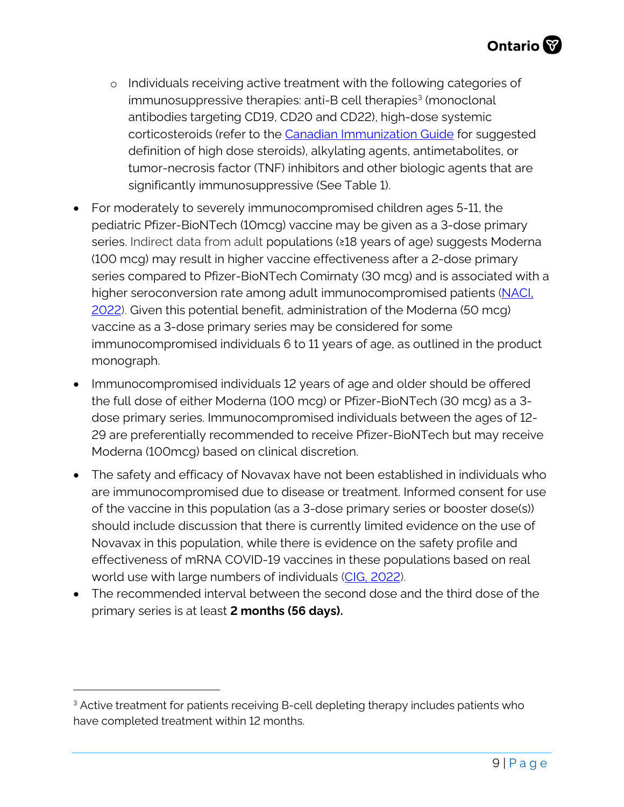- o Individuals receiving active treatment with the following categories of immunosuppressive therapies: anti-B cell therapies<sup>[3](#page-8-0)</sup> (monoclonal antibodies targeting CD19, CD20 and CD22), high-dose systemic corticosteroids (refer to the [Canadian Immunization Guide](https://www.canada.ca/en/public-health/services/publications/healthy-living/canadian-immunization-guide-part-3-vaccination-specific-populations/page-8-immunization-immunocompromised-persons.html) for suggested definition of high dose steroids), alkylating agents, antimetabolites, or tumor-necrosis factor (TNF) inhibitors and other biologic agents that are significantly immunosuppressive (See Table 1).
- For moderately to severely immunocompromised children ages 5-11, the pediatric Pfizer-BioNTech (10mcg) vaccine may be given as a 3-dose primary series. Indirect data from adult populations (≥18 years of age) suggests Moderna (100 mcg) may result in higher vaccine effectiveness after a 2-dose primary series compared to Pfizer-BioNTech Comirnaty (30 mcg) and is associated with a higher seroconversion rate among adult immunocompromised patients [\(NACI,](https://www.canada.ca/en/public-health/services/immunization/national-advisory-committee-on-immunization-naci/recommendations-use-moderna-spikevax-covid-19-vaccine-children-6-11-years-age.html)  [2022\)](https://www.canada.ca/en/public-health/services/immunization/national-advisory-committee-on-immunization-naci/recommendations-use-moderna-spikevax-covid-19-vaccine-children-6-11-years-age.html). Given this potential benefit, administration of the Moderna (50 mcg) vaccine as a 3-dose primary series may be considered for some immunocompromised individuals 6 to 11 years of age, as outlined in the product monograph.
- Immunocompromised individuals 12 years of age and older should be offered the full dose of either Moderna (100 mcg) or Pfizer-BioNTech (30 mcg) as a 3 dose primary series. Immunocompromised individuals between the ages of 12- 29 are preferentially recommended to receive Pfizer-BioNTech but may receive Moderna (100mcg) based on clinical discretion.
- The safety and efficacy of Novavax have not been established in individuals who are immunocompromised due to disease or treatment. Informed consent for use of the vaccine in this population (as a 3-dose primary series or booster dose(s)) should include discussion that there is currently limited evidence on the use of Novavax in this population, while there is evidence on the safety profile and effectiveness of mRNA COVID-19 vaccines in these populations based on real world use with large numbers of individuals [\(CIG, 2022\)](https://www.canada.ca/en/public-health/services/publications/healthy-living/canadian-immunization-guide-part-4-active-vaccines/page-26-covid-19-vaccine.html).
- The recommended interval between the second dose and the third dose of the primary series is at least **2 months (56 days).**

<span id="page-8-0"></span><sup>&</sup>lt;sup>3</sup> Active treatment for patients receiving B-cell depleting therapy includes patients who have completed treatment within 12 months.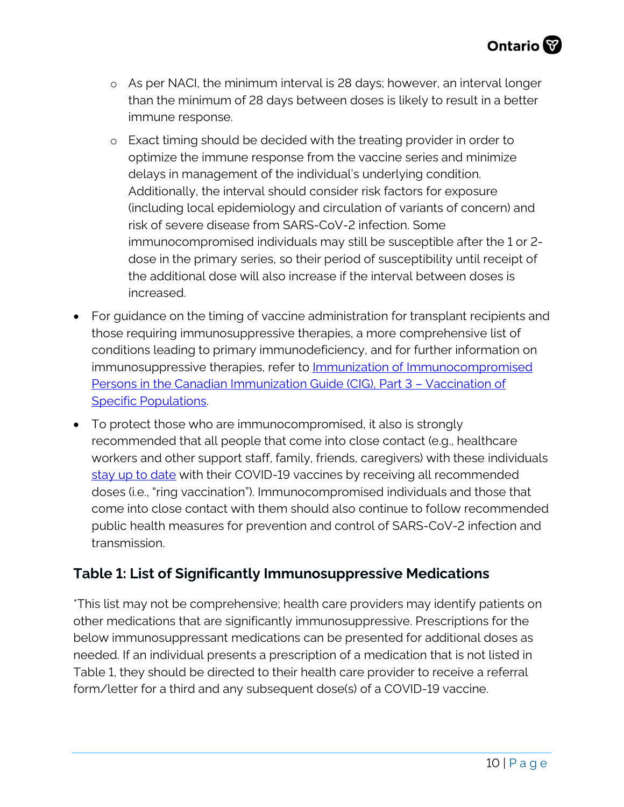- o As per NACI, the minimum interval is 28 days; however, an interval longer than the minimum of 28 days between doses is likely to result in a better immune response.
- o Exact timing should be decided with the treating provider in order to optimize the immune response from the vaccine series and minimize delays in management of the individual's underlying condition. Additionally, the interval should consider risk factors for exposure (including local epidemiology and circulation of variants of concern) and risk of severe disease from SARS-CoV-2 infection. Some immunocompromised individuals may still be susceptible after the 1 or 2 dose in the primary series, so their period of susceptibility until receipt of the additional dose will also increase if the interval between doses is increased.
- For guidance on the timing of vaccine administration for transplant recipients and those requiring immunosuppressive therapies, a more comprehensive list of conditions leading to primary immunodeficiency, and for further information on immunosuppressive therapies, refer to [Immunization of Immunocompromised](https://www.canada.ca/en/public-health/services/publications/healthy-living/canadian-immunization-guide-part-3-vaccination-specific-populations/page-8-immunization-immunocompromised-persons.html)  [Persons in the Canadian Immunization Guide \(CIG\), Part 3 – Vaccination of](https://www.canada.ca/en/public-health/services/publications/healthy-living/canadian-immunization-guide-part-3-vaccination-specific-populations/page-8-immunization-immunocompromised-persons.html)  [Specific Populations.](https://www.canada.ca/en/public-health/services/publications/healthy-living/canadian-immunization-guide-part-3-vaccination-specific-populations/page-8-immunization-immunocompromised-persons.html)
- To protect those who are immunocompromised, it also is strongly recommended that all people that come into close contact (e.g., healthcare workers and other support staff, family, friends, caregivers) with these individuals [stay up to date](https://www.health.gov.on.ca/en/pro/programs/publichealth/coronavirus/docs/vaccine/COVID_19_vaccine_up_to_date.pdf) with their COVID-19 vaccines by receiving all recommended doses (i.e., "ring vaccination"). Immunocompromised individuals and those that come into close contact with them should also continue to follow recommended public health measures for prevention and control of SARS-CoV-2 infection and transmission.

#### <span id="page-9-0"></span>**Table 1: List of Significantly Immunosuppressive Medications**

\*This list may not be comprehensive; health care providers may identify patients on other medications that are significantly immunosuppressive. Prescriptions for the below immunosuppressant medications can be presented for additional doses as needed. If an individual presents a prescription of a medication that is not listed in Table 1, they should be directed to their health care provider to receive a referral form/letter for a third and any subsequent dose(s) of a COVID-19 vaccine.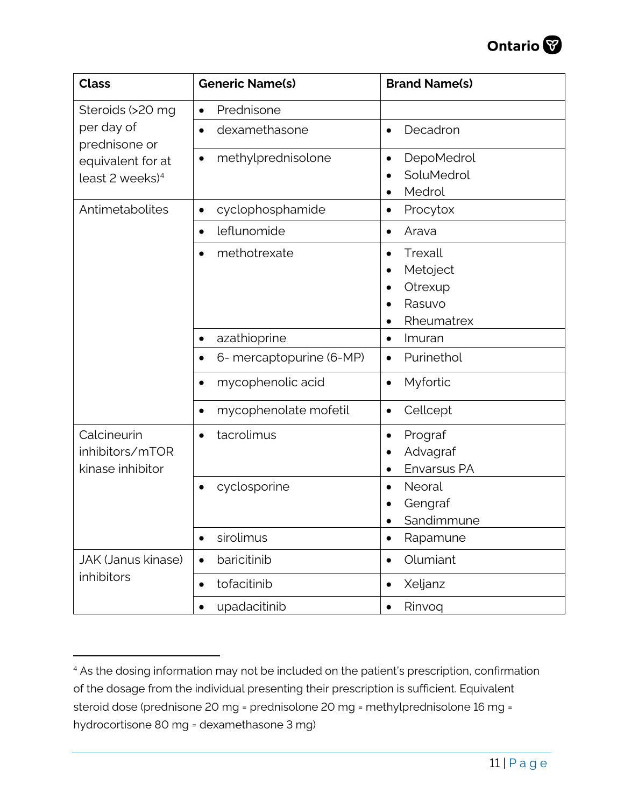

| <b>Class</b>                                                                    | <b>Generic Name(s)</b>             | <b>Brand Name(s)</b>                                   |
|---------------------------------------------------------------------------------|------------------------------------|--------------------------------------------------------|
| Steroids (>20 mg                                                                | Prednisone<br>$\bullet$            |                                                        |
| per day of<br>prednisone or<br>equivalent for at<br>least 2 weeks) <sup>4</sup> | dexamethasone                      | Decadron<br>$\bullet$                                  |
|                                                                                 | methylprednisolone<br>$\bullet$    | DepoMedrol<br>٠<br>SoluMedrol<br>Medrol                |
| Antimetabolites                                                                 | cyclophosphamide<br>$\bullet$      | Procytox<br>$\bullet$                                  |
|                                                                                 | leflunomide<br>$\bullet$           | Arava<br>٠                                             |
|                                                                                 | methotrexate                       | Trexall<br>Metoject<br>Otrexup<br>Rasuvo<br>Rheumatrex |
|                                                                                 | azathioprine                       | Imuran<br>٠                                            |
|                                                                                 | 6- mercaptopurine (6-MP)           | Purinethol<br>$\bullet$                                |
|                                                                                 | mycophenolic acid<br>$\bullet$     | Myfortic                                               |
|                                                                                 | mycophenolate mofetil<br>$\bullet$ | Cellcept<br>$\bullet$                                  |
| Calcineurin<br>inhibitors/mTOR<br>kinase inhibitor                              | tacrolimus<br>$\bullet$            | Prograf<br>٠<br>Advagraf<br>Envarsus PA                |
|                                                                                 | cyclosporine                       | Neoral<br>Gengraf<br>Sandimmune                        |
|                                                                                 | sirolimus<br>$\bullet$             | Rapamune                                               |
| <b>JAK (Janus kinase)</b><br>inhibitors                                         | baricitinib<br>$\bullet$           | Olumiant                                               |
|                                                                                 | tofacitinib<br>$\bullet$           | Xeljanz                                                |
|                                                                                 | upadacitinib<br>$\bullet$          | Rinvoq<br>$\bullet$                                    |

<span id="page-10-0"></span><sup>&</sup>lt;sup>4</sup> As the dosing information may not be included on the patient's prescription, confirmation of the dosage from the individual presenting their prescription is sufficient. Equivalent steroid dose (prednisone 20 mg = prednisolone 20 mg = methylprednisolone 16 mg = hydrocortisone 80 mg = dexamethasone 3 mg)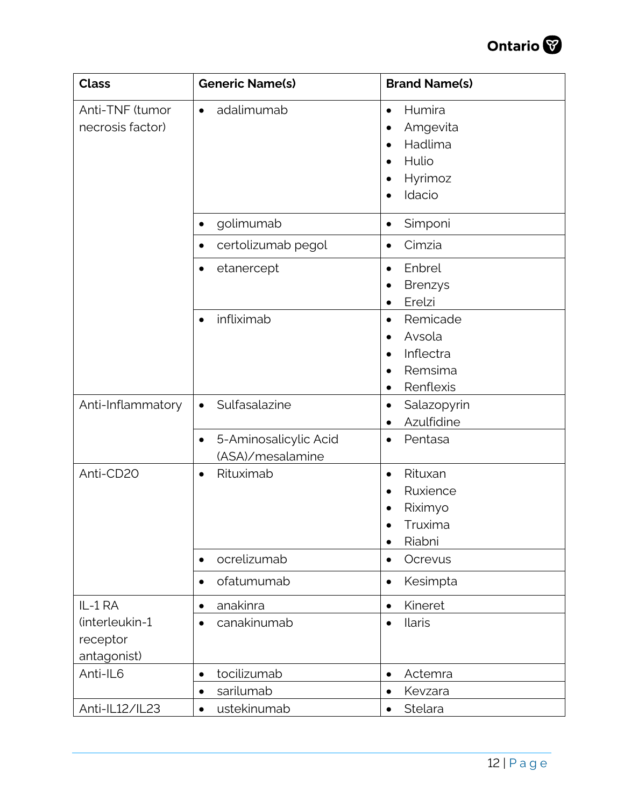

| <b>Class</b>                                         | <b>Generic Name(s)</b>                                 | <b>Brand Name(s)</b>                                                                                                         |
|------------------------------------------------------|--------------------------------------------------------|------------------------------------------------------------------------------------------------------------------------------|
| Anti-TNF (tumor<br>necrosis factor)                  | adalimumab<br>$\bullet$                                | Humira<br>$\bullet$<br>Amgevita<br>$\bullet$<br>Hadlima<br>$\bullet$<br>Hulio<br>$\bullet$<br>Hyrimoz<br>$\bullet$<br>Idacio |
|                                                      | golimumab<br>$\bullet$                                 | Simponi<br>$\bullet$                                                                                                         |
|                                                      | certolizumab pegol<br>$\bullet$                        | Cimzia<br>$\bullet$                                                                                                          |
|                                                      | etanercept                                             | Enbrel<br>$\bullet$<br><b>Brenzys</b><br>$\bullet$<br>Erelzi<br>$\bullet$                                                    |
|                                                      | infliximab<br>$\bullet$                                | Remicade<br>$\bullet$<br>Avsola<br>$\bullet$<br>Inflectra<br>$\bullet$<br>Remsima<br>$\bullet$<br>Renflexis<br>$\bullet$     |
| Anti-Inflammatory                                    | Sulfasalazine<br>$\bullet$                             | Salazopyrin<br>$\bullet$<br>Azulfidine                                                                                       |
|                                                      | 5-Aminosalicylic Acid<br>$\bullet$<br>(ASA)/mesalamine | Pentasa<br>$\bullet$                                                                                                         |
| Anti-CD20                                            | Rituximab<br>$\bullet$                                 | Rituxan<br>$\bullet$<br>Ruxience<br>$\bullet$<br>Riximyo<br>Truxima<br>Riabni<br>$\bullet$                                   |
|                                                      | ocrelizumab<br>$\bullet$                               | Ocrevus<br>$\bullet$                                                                                                         |
|                                                      | ofatumumab<br>$\bullet$                                | Kesimpta<br>$\bullet$                                                                                                        |
| IL-1 RA<br>(interleukin-1<br>receptor<br>antagonist) | anakinra<br>٠<br>canakinumab                           | Kineret<br>$\bullet$<br><b>Ilaris</b><br>$\bullet$                                                                           |
| Anti-IL6                                             | tocilizumab<br>$\bullet$                               | Actemra<br>$\bullet$                                                                                                         |
|                                                      | sarilumab<br>$\bullet$                                 | Kevzara<br>$\bullet$                                                                                                         |
| Anti-IL12/IL23                                       | ustekinumab                                            | Stelara                                                                                                                      |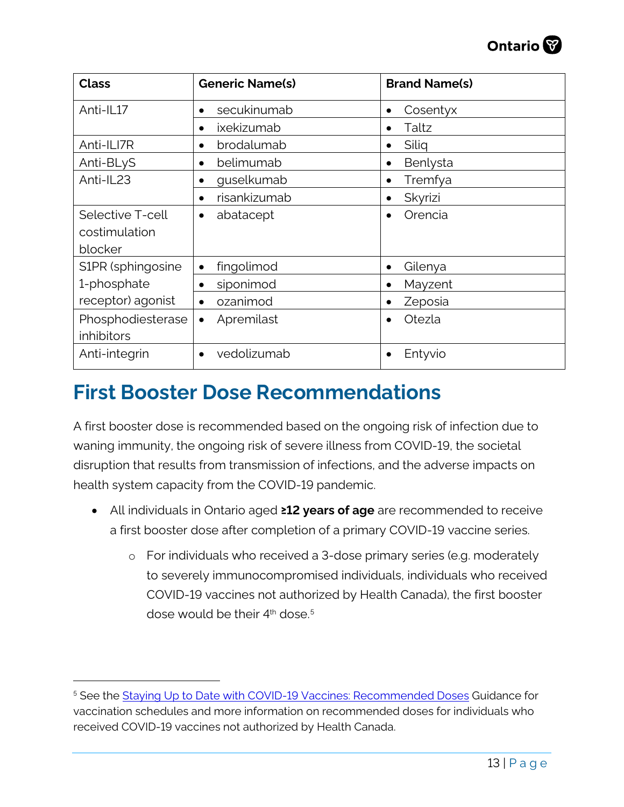| <b>Class</b>                                 | <b>Generic Name(s)</b>    | <b>Brand Name(s)</b>  |
|----------------------------------------------|---------------------------|-----------------------|
| Anti-IL17                                    | secukinumab<br>$\bullet$  | Cosentyx<br>$\bullet$ |
|                                              | ixekizumab<br>$\bullet$   | Taltz<br>$\bullet$    |
| Anti-ILI7R                                   | brodalumab<br>$\bullet$   | Siliq<br>$\bullet$    |
| Anti-BLyS                                    | belimumab<br>$\bullet$    | Benlysta<br>$\bullet$ |
| Anti-IL23                                    | guselkumab<br>٠           | Tremfya<br>$\bullet$  |
|                                              | risankizumab<br>$\bullet$ | Skyrizi<br>$\bullet$  |
| Selective T-cell<br>costimulation<br>blocker | abatacept<br>$\bullet$    | Orencia<br>$\bullet$  |
| S1PR (sphingosine                            | fingolimod                | Gilenya<br>$\bullet$  |
| 1-phosphate                                  | siponimod<br>$\bullet$    | Mayzent<br>$\bullet$  |
| receptor) agonist                            | ozanimod<br>$\bullet$     | Zeposia<br>$\bullet$  |
| Phosphodiesterase<br>inhibitors              | Apremilast<br>$\bullet$   | Otezla                |
| Anti-integrin                                | vedolizumab<br>$\bullet$  | Entyvio               |

### <span id="page-12-0"></span>**First Booster Dose Recommendations**

A first booster dose is recommended based on the ongoing risk of infection due to waning immunity, the ongoing risk of severe illness from COVID-19, the societal disruption that results from transmission of infections, and the adverse impacts on health system capacity from the COVID-19 pandemic.

- All individuals in Ontario aged **≥12 years of age** are recommended to receive a first booster dose after completion of a primary COVID-19 vaccine series.
	- o For individuals who received a 3-dose primary series (e.g. moderately to severely immunocompromised individuals, individuals who received COVID-19 vaccines not authorized by Health Canada), the first booster dose would be their  $4<sup>th</sup>$  dose.<sup>[5](#page-12-1)</sup>

<span id="page-12-1"></span><sup>5</sup> See the [Staying Up to Date with COVID-19 Vaccines: Recommended Doses](https://www.health.gov.on.ca/en/pro/programs/publichealth/coronavirus/docs/vaccine/COVID_19_vaccine_up_to_date.pdf#page=3) Guidance for vaccination schedules and more information on recommended doses for individuals who received COVID-19 vaccines not authorized by Health Canada.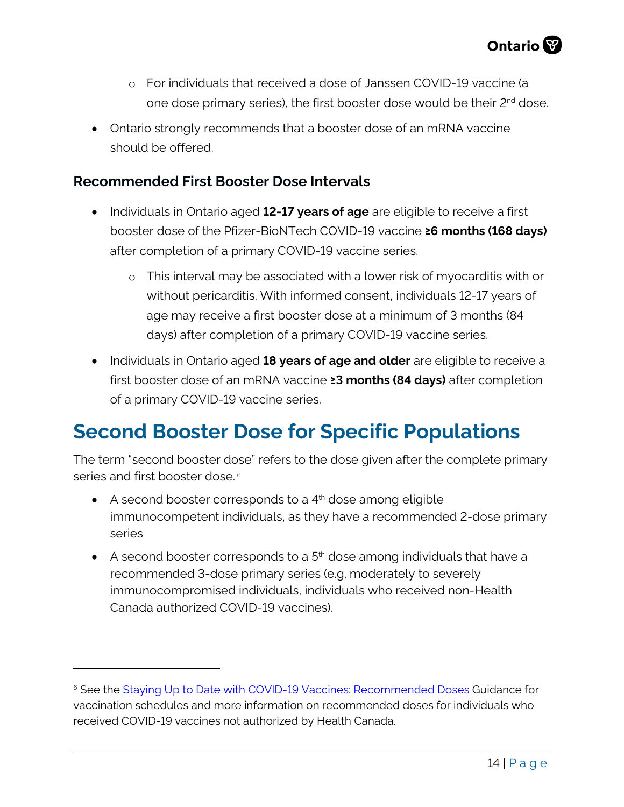- o For individuals that received a dose of Janssen COVID-19 vaccine (a one dose primary series), the first booster dose would be their 2<sup>nd</sup> dose.
- Ontario strongly recommends that a booster dose of an mRNA vaccine should be offered.

#### <span id="page-13-0"></span>**Recommended First Booster Dose Intervals**

- Individuals in Ontario aged **12-17 years of age** are eligible to receive a first booster dose of the Pfizer-BioNTech COVID-19 vaccine **≥6 months (168 days)** after completion of a primary COVID-19 vaccine series.
	- o This interval may be associated with a lower risk of myocarditis with or without pericarditis. With informed consent, individuals 12-17 years of age may receive a first booster dose at a minimum of 3 months (84 days) after completion of a primary COVID-19 vaccine series.
- Individuals in Ontario aged **18 years of age and older** are eligible to receive a first booster dose of an mRNA vaccine **≥3 months (84 days)** after completion of a primary COVID-19 vaccine series.

### <span id="page-13-1"></span>**Second Booster Dose for Specific Populations**

The term "second booster dose" refers to the dose given after the complete primary series and first booster dose.<sup>[6](#page-13-2)</sup>

- $\bullet$  A second booster corresponds to a  $4<sup>th</sup>$  dose among eligible immunocompetent individuals, as they have a recommended 2-dose primary series
- $\bullet$  A second booster corresponds to a  $5<sup>th</sup>$  dose among individuals that have a recommended 3-dose primary series (e.g. moderately to severely immunocompromised individuals, individuals who received non-Health Canada authorized COVID-19 vaccines).

<span id="page-13-2"></span><sup>&</sup>lt;sup>6</sup> See the [Staying Up to Date with COVID-19 Vaccines: Recommended Doses](https://www.health.gov.on.ca/en/pro/programs/publichealth/coronavirus/docs/vaccine/COVID_19_vaccine_up_to_date.pdf#page=3) Guidance for vaccination schedules and more information on recommended doses for individuals who received COVID-19 vaccines not authorized by Health Canada.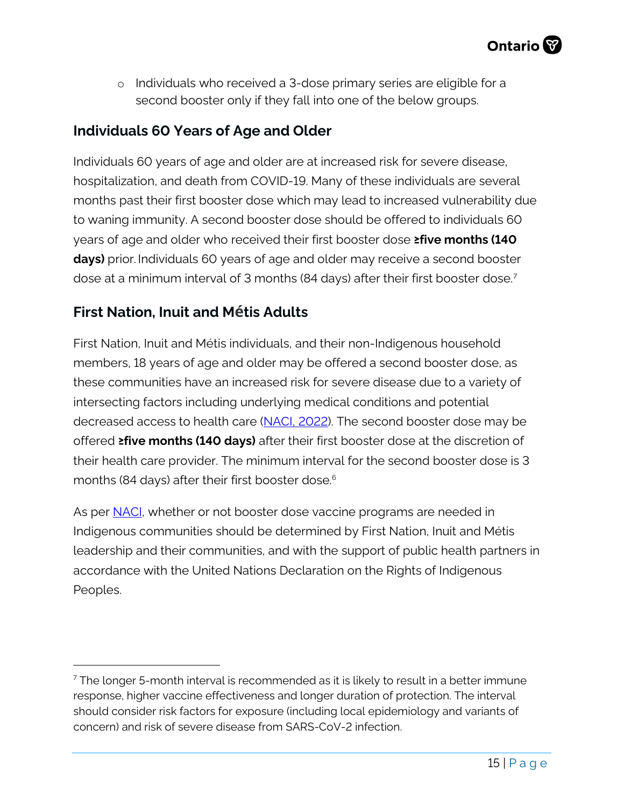o Individuals who received a 3-dose primary series are eligible for a second booster only if they fall into one of the below groups.

#### <span id="page-14-0"></span>**Individuals 60 Years of Age and Older**

Individuals 60 years of age and older are at increased risk for severe disease, hospitalization, and death from COVID-19. Many of these individuals are several months past their first booster dose which may lead to increased vulnerability due to waning immunity. A second booster dose should be offered to individuals 60 years of age and older who received their first booster dose **≥five months (140 days)** prior. Individuals 60 years of age and older may receive a second booster dose at a minimum interval of 3 months (84 days) after their first booster dose.[7](#page-14-2)

#### <span id="page-14-1"></span>**First Nation, Inuit and Métis Adults**

First Nation, Inuit and Métis individuals, and their non-Indigenous household members, 18 years of age and older may be offered a second booster dose, as these communities have an increased risk for severe disease due to a variety of intersecting factors including underlying medical conditions and potential decreased access to health care [\(NACI, 2022\)](https://www.canada.ca/content/dam/phac-aspc/documents/services/immunization/national-advisory-committee-on-immunization-naci/naci-guidance-second-booster-dose-covid-19-vaccines.pdf). The second booster dose may be offered **≥five months (140 days)** after their first booster dose at the discretion of their health care provider. The minimum interval for the second booster dose is 3 months (84 days) after their first booster dose. 6

As per [NACI,](https://www.canada.ca/content/dam/phac-aspc/documents/services/immunization/national-advisory-committee-on-immunization-naci/naci-guidance-second-booster-dose-covid-19-vaccines.pdf) whether or not booster dose vaccine programs are needed in Indigenous communities should be determined by First Nation, Inuit and Métis leadership and their communities, and with the support of public health partners in accordance with the United Nations Declaration on the Rights of Indigenous Peoples.

<span id="page-14-2"></span> $<sup>7</sup>$  The longer 5-month interval is recommended as it is likely to result in a better immune</sup> response, higher vaccine effectiveness and longer duration of protection. The interval should consider risk factors for exposure (including local epidemiology and variants of concern) and risk of severe disease from SARS-CoV-2 infection.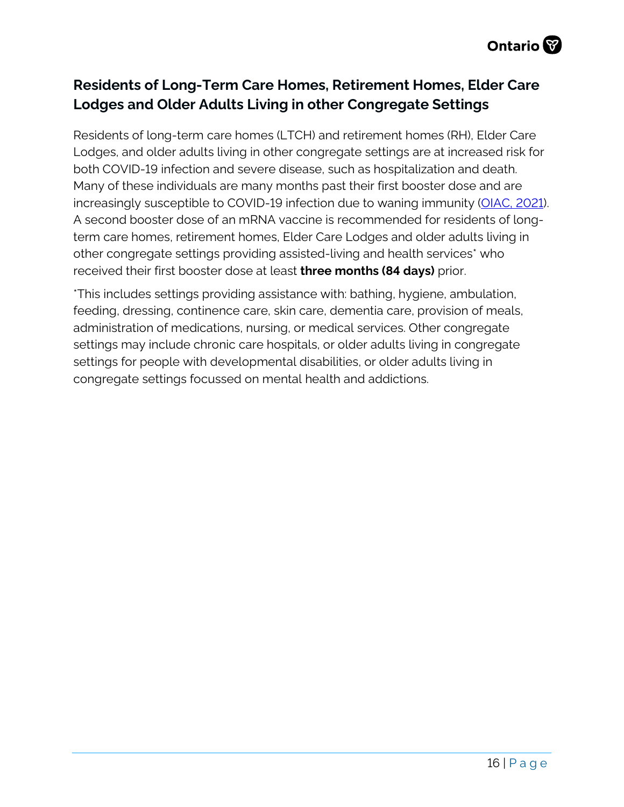#### <span id="page-15-0"></span>**Residents of Long-Term Care Homes, Retirement Homes, Elder Care Lodges and Older Adults Living in other Congregate Settings**

Residents of long-term care homes (LTCH) and retirement homes (RH), Elder Care Lodges, and older adults living in other congregate settings are at increased risk for both COVID-19 infection and severe disease, such as hospitalization and death. Many of these individuals are many months past their first booster dose and are increasingly susceptible to COVID-19 infection due to waning immunity [\(OIAC, 2021\)](https://www.publichealthontario.ca/-/media/Documents/nCoV/Vaccines/2022/01/covid-19-oiac-4th-dose-recommendations-older-adults-ltc.pdf?sc_lang=en). A second booster dose of an mRNA vaccine is recommended for residents of longterm care homes, retirement homes, Elder Care Lodges and older adults living in other congregate settings providing assisted-living and health services\* who received their first booster dose at least **three months (84 days)** prior.

\*This includes settings providing assistance with: bathing, hygiene, ambulation, feeding, dressing, continence care, skin care, dementia care, provision of meals, administration of medications, nursing, or medical services. Other congregate settings may include chronic care hospitals, or older adults living in congregate settings for people with developmental disabilities, or older adults living in congregate settings focussed on mental health and addictions.